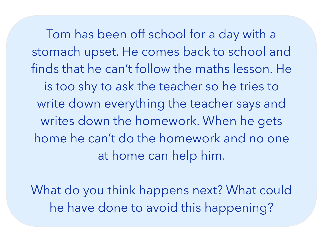Tom has been off school for a day with a stomach upset. He comes back to school and finds that he can't follow the maths lesson. He is too shy to ask the teacher so he tries to write down everything the teacher says and writes down the homework. When he gets home he can't do the homework and no one at home can help him.

What do you think happens next? What could he have done to avoid this happening?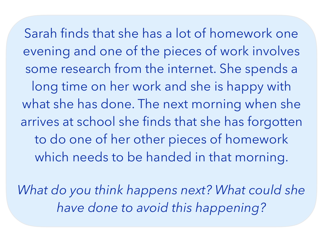Sarah finds that she has a lot of homework one evening and one of the pieces of work involves some research from the internet. She spends a long time on her work and she is happy with what she has done. The next morning when she arrives at school she finds that she has forgotten to do one of her other pieces of homework which needs to be handed in that morning.

*What do you think happens next? What could she have done to avoid this happening?*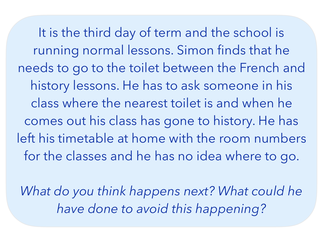It is the third day of term and the school is running normal lessons. Simon finds that he needs to go to the toilet between the French and history lessons. He has to ask someone in his class where the nearest toilet is and when he comes out his class has gone to history. He has left his timetable at home with the room numbers for the classes and he has no idea where to go.

*What do you think happens next? What could he have done to avoid this happening?*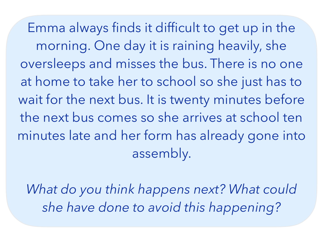Emma always finds it difficult to get up in the morning. One day it is raining heavily, she oversleeps and misses the bus. There is no one at home to take her to school so she just has to wait for the next bus. It is twenty minutes before the next bus comes so she arrives at school ten minutes late and her form has already gone into assembly.

*What do you think happens next? What could she have done to avoid this happening?*